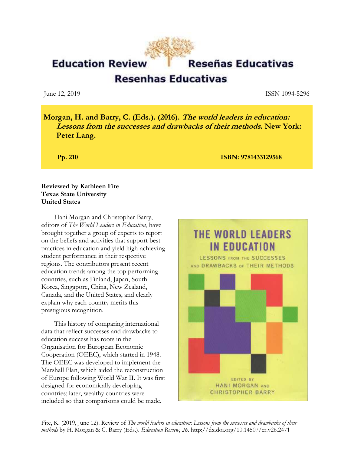**Education Review** 

**Resenhas Educativas** 

June 12, 2019 ISSN 1094-5296

**Morgan, H. and Barry, C. (Eds.). (2016). The world leaders in education: Lessons from the successes and drawbacks of their methods. New York: Peter Lang.**

**Pp. 210 ISBN: 9781433129568** 

### **Reviewed by Kathleen Fite Texas State University United States**

Hani Morgan and Christopher Barry, editors of *The World Leaders in Education*, have brought together a group of experts to report on the beliefs and activities that support best practices in education and yield high-achieving student performance in their respective regions. The contributors present recent education trends among the top performing countries, such as Finland, Japan, South Korea, Singapore, China, New Zealand, Canada, and the United States, and clearly explain why each country merits this prestigious recognition.

This history of comparing international data that reflect successes and drawbacks to education success has roots in the Organisation for European Economic Cooperation (OEEC), which started in 1948. The OEEC was developed to implement the Marshall Plan, which aided the reconstruction of Europe following World War II. It was first designed for economically developing countries; later, wealthy countries were included so that comparisons could be made.

# THE WORLD LEADERS **IN EDUCATION**

LESSONS FROM THE SUCCESSES AND DRAWBACKS of THEIR METHODS



Fite, K. (2019, June 12). Review of *The world leaders in education: Lessons from the successes and drawbacks of their methods* by H. Morgan & C. Barry (Eds.). *Education Review*, *26*. http://dx.doi.org/10.14507/er.v26.2471

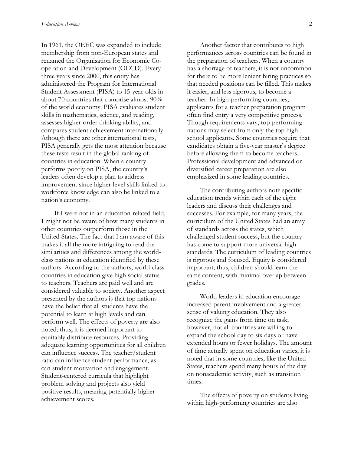In 1961, the OEEC was expanded to include membership from non-European states and renamed the Organisation for Economic Cooperation and Development (OECD). Every three years since 2000, this entity has administered the Program for International Student Assessment (PISA) to 15-year-olds in about 70 countries that comprise almost 90% of the world economy. PISA evaluates student skills in mathematics, science, and reading, assesses higher-order thinking ability, and compares student achievement internationally. Athough there are other international tests, PISA generally gets the most attention because these tests result in the global ranking of countries in education. When a country performs poorly on PISA, the country's leaders often develop a plan to address improvement since higher-level skills linked to workforce knowledge can also be linked to a nation's economy.

If I were not in an education-related field, I might not be aware of how many students in other countries outperform those in the United States. The fact that I am aware of this makes it all the more intriguing to read the similarities and differences among the worldclass nations in education identified by these authors. According to the authors, world-class countries in education give high social status to teachers. Teachers are paid well and are considered valuable to society. Another aspect presented by the authors is that top nations have the belief that all students have the potential to learn at high levels and can perform well. The effects of poverty are also noted; thus, it is deemed important to equitably distribute resources. Providing adequate learning opportunities for all children can influence success. The teacher/student ratio can influence student performance, as can student motivation and engagement. Student-centered curricula that highlight problem solving and projects also yield positive results, meaning potentially higher achievement scores.

Another factor that contributes to high performances across countries can be found in the preparation of teachers. When a country has a shortage of teachers, it is not uncommon for there to be more lenient hiring practices so that needed positions can be filled. This makes it easier, and less rigorous, to become a teacher. In high-performing countries, applicants for a teacher preparation program often find entry a very competitive process. Though requirements vary, top-performing nations may select from only the top high school applicants. Some countries require that candidates obtain a five-year master's degree before allowing them to become teachers. Professional development and advanced or diversified career preparation are also emphasized in some leading countries.

The contributing authors note specific education trends within each of the eight leaders and discuss their challenges and successes. For example, for many years, the curriculum of the United States had an array of standards across the states, which challenged student success, but the country has come to support more universal high standards. The curriculum of leading countries is rigorous and focused. Equity is considered important; thus, children should learn the same content, with minimal overlap between grades.

World leaders in education encourage increased parent involvement and a greater sense of valuing education. They also recognize the gains from time on task; however, not all countries are willing to expand the school day to six days or have extended hours or fewer holidays. The amount of time actually spent on education varies; it is noted that in some countries, like the United States, teachers spend many hours of the day on nonacademic activity, such as transition times.

The effects of poverty on students living within high-performing countries are also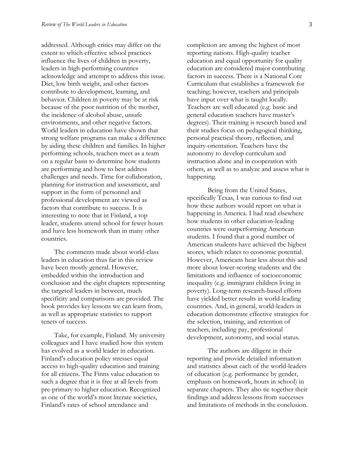addressed. Although critics may differ on the extent to which effective school practices influence the lives of children in poverty, leaders in high-performing countries acknowledge and attempt to address this issue. Diet, low birth weight, and other factors contribute to development, learning, and behavior. Children in poverty may be at risk because of the poor nutrition of the mother, the incidence of alcohol abuse, unsafe environments, and other negative factors. World leaders in education have shown that strong welfare programs can make a difference by aiding these children and families. In higher performing schools, teachers meet as a team on a regular basis to determine how students are performing and how to best address challenges and needs. Time for collaboration, planning for instruction and assessment, and support in the form of personnel and professional development are viewed as factors that contribute to success. It is interesting to note that in Finland, a top leader, students attend school for fewer hours and have less homework than in many other countries.

The comments made about world-class leaders in education thus far in this review have been mostly general. However, embedded within the introduction and conclusion and the eight chapters representing the targeted leaders in between, much specificity and comparisons are provided. The book provides key lessons we can learn from, as well as appropriate statistics to support tenets of success.

Take, for example, Finland. My university colleagues and I have studied how this system has evolved as a world leader in education. Finland's education policy stresses equal access to high-quality education and training for all citizens. The Finns value education to such a degree that it is free at all levels from pre-primary to higher education. Recognized as one of the world's most literate societies, Finland's rates of school attendance and

completion are among the highest of most reporting nations. High-quality teacher education and equal opportunity for quality education are considered major contributing factors in success. There is a National Core Curriculum that establishes a framework for teaching; however, teachers and principals have input over what is taught locally. Teachers are well educated (e.g. basic and general education teachers have master's degrees). Their training is research based and their studies focus on pedagogical thinking, personal practical theory, reflection, and inquiry-orientation. Teachers have the autonomy to develop curriculum and instruction alone and in cooperation with others, as well as to analyze and assess what is happening.

Being from the United States, specifically Texas, I was curious to find out how these authors would report on what is happening in America. I had read elsewhere how students in other education-leading countries were outperforming American students. I found that a good number of American students have achieved the highest scores, which relates to economic potential. However, Americans hear less about this and more about lower-scoring students and the limitations and influence of socioeconomic inequality (e.g. immigrant children living in poverty). Long-term research-based efforts have yielded better results in world-leading countries. And, in general, world-leaders in education demonstrate effective strategies for the selection, training, and retention of teachers, including pay, professional development, autonomy, and social status.

The authors are diligent in their reporting and provide detailed information and statistics about each of the world-leaders of education (e.g. performance by gender, emphasis on homework, hours in school) in separate chapters. They also tie together their findings and address lessons from successes and limitations of methods in the conclusion.